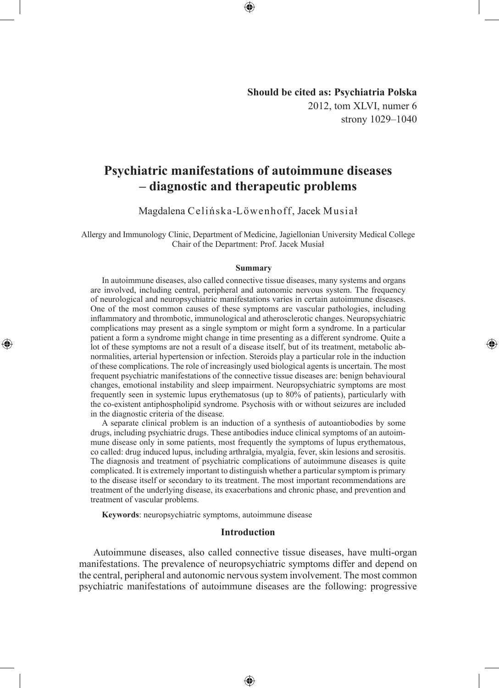**Should be cited as: Psychiatria Polska** 2012, tom XLVI, numer 6 strony 1029–1040

◈

# **Psychiatric manifestations of autoimmune diseases – diagnostic and therapeutic problems**

Magdalena Celińska-Löwenhoff, Jacek Musiał

Allergy and Immunology Clinic, Department of Medicine, Jagiellonian University Medical College Chair of the Department: Prof. Jacek Musiał

#### **Summary**

In autoimmune diseases, also called connective tissue diseases, many systems and organs are involved, including central, peripheral and autonomic nervous system. The frequency of neurological and neuropsychiatric manifestations varies in certain autoimmune diseases. One of the most common causes of these symptoms are vascular pathologies, including inflammatory and thrombotic, immunological and atherosclerotic changes. Neuropsychiatric complications may present as a single symptom or might form a syndrome. In a particular patient a form a syndrome might change in time presenting as a different syndrome. Quite a lot of these symptoms are not a result of a disease itself, but of its treatment, metabolic abnormalities, arterial hypertension or infection. Steroids play a particular role in the induction of these complications. The role of increasingly used biological agents is uncertain. The most frequent psychiatric manifestations of the connective tissue diseases are: benign behavioural changes, emotional instability and sleep impairment. Neuropsychiatric symptoms are most frequently seen in systemic lupus erythematosus (up to 80% of patients), particularly with the co-existent antiphospholipid syndrome. Psychosis with or without seizures are included in the diagnostic criteria of the disease.

A separate clinical problem is an induction of a synthesis of autoantiobodies by some drugs, including psychiatric drugs. These antibodies induce clinical symptoms of an autoimmune disease only in some patients, most frequently the symptoms of lupus erythematous, co called: drug induced lupus, including arthralgia, myalgia, fever, skin lesions and serositis. The diagnosis and treatment of psychiatric complications of autoimmune diseases is quite complicated. It is extremely important to distinguish whether a particular symptom is primary to the disease itself or secondary to its treatment. The most important recommendations are treatment of the underlying disease, its exacerbations and chronic phase, and prevention and treatment of vascular problems.

**Keywords**: neuropsychiatric symptoms, autoimmune disease

◈

#### **Introduction**

Autoimmune diseases, also called connective tissue diseases, have multi-organ manifestations. The prevalence of neuropsychiatric symptoms differ and depend on the central, peripheral and autonomic nervous system involvement. The most common psychiatric manifestations of autoimmune diseases are the following: progressive

⊕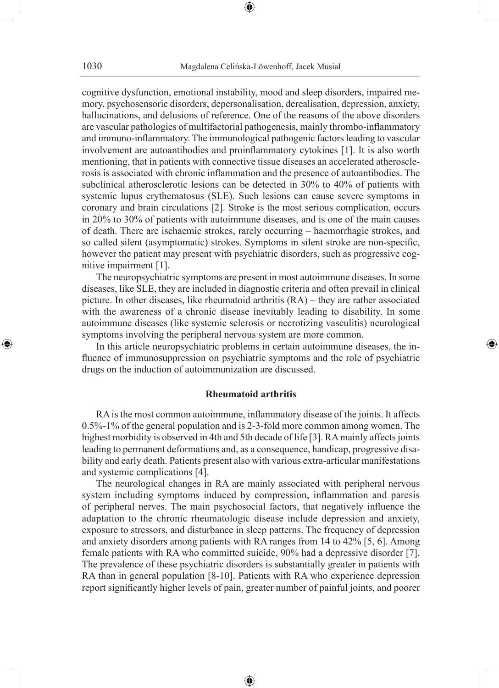cognitive dysfunction, emotional instability, mood and sleep disorders, impaired memory, psychosensoric disorders, depersonalisation, derealisation, depression, anxiety, hallucinations, and delusions of reference. One of the reasons of the above disorders are vascular pathologies of multifactorial pathogenesis, mainly thrombo-inflammatory and immuno-inflammatory. The immunological pathogenic factors leading to vascular involvement are autoantibodies and proinflammatory cytokines [1]. It is also worth mentioning, that in patients with connective tissue diseases an accelerated atherosclerosis is associated with chronic inflammation and the presence of autoantibodies. The subclinical atherosclerotic lesions can be detected in 30% to 40% of patients with systemic lupus erythematosus (SLE). Such lesions can cause severe symptoms in coronary and brain circulations [2]. Stroke is the most serious complication, occurs in 20% to 30% of patients with autoimmune diseases, and is one of the main causes of death. There are ischaemic strokes, rarely occurring – haemorrhagic strokes, and so called silent (asymptomatic) strokes. Symptoms in silent stroke are non-specific, however the patient may present with psychiatric disorders, such as progressive cognitive impairment [1].

The neuropsychiatric symptoms are present in most autoimmune diseases. In some diseases, like SLE, they are included in diagnostic criteria and often prevail in clinical picture. In other diseases, like rheumatoid arthritis (RA) – they are rather associated with the awareness of a chronic disease inevitably leading to disability. In some autoimmune diseases (like systemic sclerosis or necrotizing vasculitis) neurological symptoms involving the peripheral nervous system are more common.

In this article neuropsychiatric problems in certain autoimmune diseases, the influence of immunosuppression on psychiatric symptoms and the role of psychiatric drugs on the induction of autoimmunization are discussed.

⊕

#### **Rheumatoid arthritis**

RA is the most common autoimmune, inflammatory disease of the joints. It affects 0.5%-1% of the general population and is 2-3-fold more common among women. The highest morbidity is observed in 4th and 5th decade of life [3]. RA mainly affects joints leading to permanent deformations and, as a consequence, handicap, progressive disability and early death. Patients present also with various extra-articular manifestations and systemic complications [4].

The neurological changes in RA are mainly associated with peripheral nervous system including symptoms induced by compression, inflammation and paresis of peripheral nerves. The main psychosocial factors, that negatively influence the adaptation to the chronic rheumatologic disease include depression and anxiety, exposure to stressors, and disturbance in sleep patterns. The frequency of depression and anxiety disorders among patients with RA ranges from 14 to 42% [5, 6]. Among female patients with RA who committed suicide, 90% had a depressive disorder [7]. The prevalence of these psychiatric disorders is substantially greater in patients with RA than in general population [8-10]. Patients with RA who experience depression report significantly higher levels of pain, greater number of painful joints, and poorer

⊕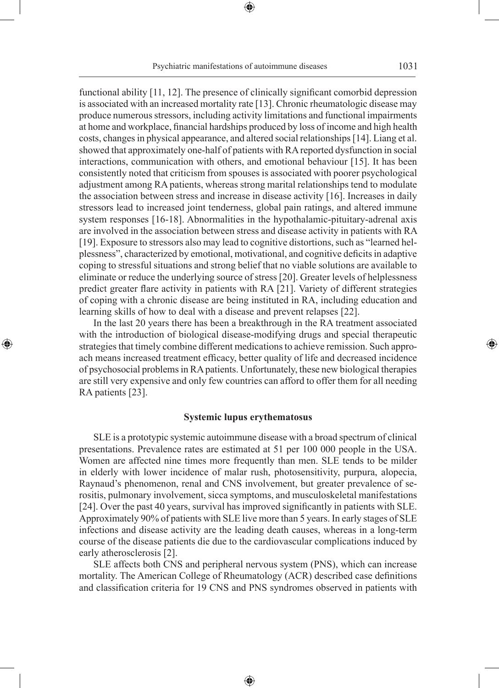functional ability [11, 12]. The presence of clinically significant comorbid depression is associated with an increased mortality rate [13]. Chronic rheumatologic disease may produce numerous stressors, including activity limitations and functional impairments at home and workplace, financial hardships produced by loss of income and high health costs, changes in physical appearance, and altered social relationships [14]. Liang et al. showed that approximately one-half of patients with RA reported dysfunction in social interactions, communication with others, and emotional behaviour [15]. It has been consistently noted that criticism from spouses is associated with poorer psychological adjustment among RA patients, whereas strong marital relationships tend to modulate the association between stress and increase in disease activity [16]. Increases in daily stressors lead to increased joint tenderness, global pain ratings, and altered immune system responses [16-18]. Abnormalities in the hypothalamic-pituitary-adrenal axis are involved in the association between stress and disease activity in patients with RA [19]. Exposure to stressors also may lead to cognitive distortions, such as "learned helplessness", characterized by emotional, motivational, and cognitive deficits in adaptive coping to stressful situations and strong belief that no viable solutions are available to eliminate or reduce the underlying source of stress [20]. Greater levels of helplessness predict greater flare activity in patients with RA [21]. Variety of different strategies

In the last 20 years there has been a breakthrough in the RA treatment associated with the introduction of biological disease-modifying drugs and special therapeutic strategies that timely combine different medications to achieve remission. Such approach means increased treatment efficacy, better quality of life and decreased incidence of psychosocial problems in RA patients. Unfortunately, these new biological therapies are still very expensive and only few countries can afford to offer them for all needing RA patients [23].

of coping with a chronic disease are being instituted in RA, including education and

learning skills of how to deal with a disease and prevent relapses [22].

◈

#### **Systemic lupus erythematosus**

SLE is a prototypic systemic autoimmune disease with a broad spectrum of clinical presentations. Prevalence rates are estimated at 51 per 100 000 people in the USA. Women are affected nine times more frequently than men. SLE tends to be milder in elderly with lower incidence of malar rush, photosensitivity, purpura, alopecia, Raynaud's phenomenon, renal and CNS involvement, but greater prevalence of serositis, pulmonary involvement, sicca symptoms, and musculoskeletal manifestations [24]. Over the past 40 years, survival has improved significantly in patients with SLE. Approximately 90% of patients with SLE live more than 5 years. In early stages of SLE infections and disease activity are the leading death causes, whereas in a long-term course of the disease patients die due to the cardiovascular complications induced by early atherosclerosis [2].

SLE affects both CNS and peripheral nervous system (PNS), which can increase mortality. The American College of Rheumatology (ACR) described case definitions and classification criteria for 19 CNS and PNS syndromes observed in patients with

⊕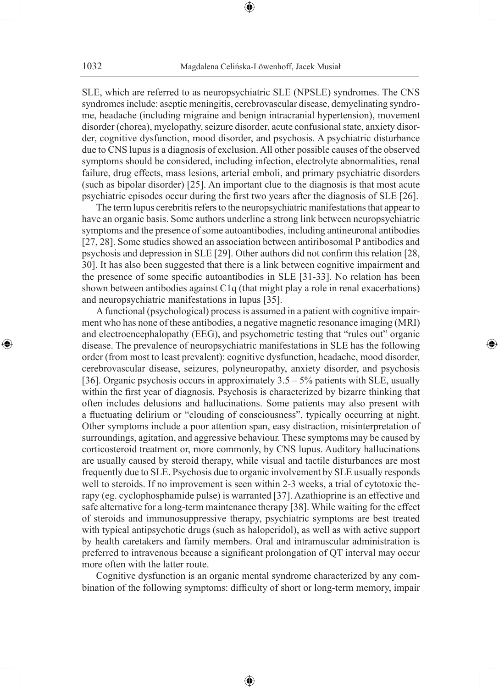SLE, which are referred to as neuropsychiatric SLE (NPSLE) syndromes. The CNS syndromes include: aseptic meningitis, cerebrovascular disease, demyelinating syndrome, headache (including migraine and benign intracranial hypertension), movement disorder (chorea), myelopathy, seizure disorder, acute confusional state, anxiety disorder, cognitive dysfunction, mood disorder, and psychosis. A psychiatric disturbance due to CNS lupus is a diagnosis of exclusion. All other possible causes of the observed symptoms should be considered, including infection, electrolyte abnormalities, renal failure, drug effects, mass lesions, arterial emboli, and primary psychiatric disorders (such as bipolar disorder) [25]. An important clue to the diagnosis is that most acute psychiatric episodes occur during the first two years after the diagnosis of SLE [26].

The term lupus cerebritis refers to the neuropsychiatric manifestations that appear to have an organic basis. Some authors underline a strong link between neuropsychiatric symptoms and the presence of some autoantibodies, including antineuronal antibodies [27, 28]. Some studies showed an association between antiribosomal P antibodies and psychosis and depression in SLE [29]. Other authors did not confirm this relation [28, 30]. It has also been suggested that there is a link between cognitive impairment and the presence of some specific autoantibodies in SLE [31-33]. No relation has been shown between antibodies against C1q (that might play a role in renal exacerbations) and neuropsychiatric manifestations in lupus [35].

◈

A functional (psychological) process is assumed in a patient with cognitive impairment who has none of these antibodies, a negative magnetic resonance imaging (MRI) and electroencephalopathy (EEG), and psychometric testing that "rules out" organic disease. The prevalence of neuropsychiatric manifestations in SLE has the following order (from most to least prevalent): cognitive dysfunction, headache, mood disorder, cerebrovascular disease, seizures, polyneuropathy, anxiety disorder, and psychosis [36]. Organic psychosis occurs in approximately  $3.5 - 5\%$  patients with SLE, usually within the first year of diagnosis. Psychosis is characterized by bizarre thinking that often includes delusions and hallucinations. Some patients may also present with a fluctuating delirium or "clouding of consciousness", typically occurring at night. Other symptoms include a poor attention span, easy distraction, misinterpretation of surroundings, agitation, and aggressive behaviour. These symptoms may be caused by corticosteroid treatment or, more commonly, by CNS lupus. Auditory hallucinations are usually caused by steroid therapy, while visual and tactile disturbances are most frequently due to SLE. Psychosis due to organic involvement by SLE usually responds well to steroids. If no improvement is seen within 2-3 weeks, a trial of cytotoxic therapy (eg. cyclophosphamide pulse) is warranted [37]. Azathioprine is an effective and safe alternative for a long-term maintenance therapy [38]. While waiting for the effect of steroids and immunosuppressive therapy, psychiatric symptoms are best treated with typical antipsychotic drugs (such as haloperidol), as well as with active support by health caretakers and family members. Oral and intramuscular administration is preferred to intravenous because a significant prolongation of QT interval may occur more often with the latter route.

Cognitive dysfunction is an organic mental syndrome characterized by any combination of the following symptoms: difficulty of short or long-term memory, impair

⊕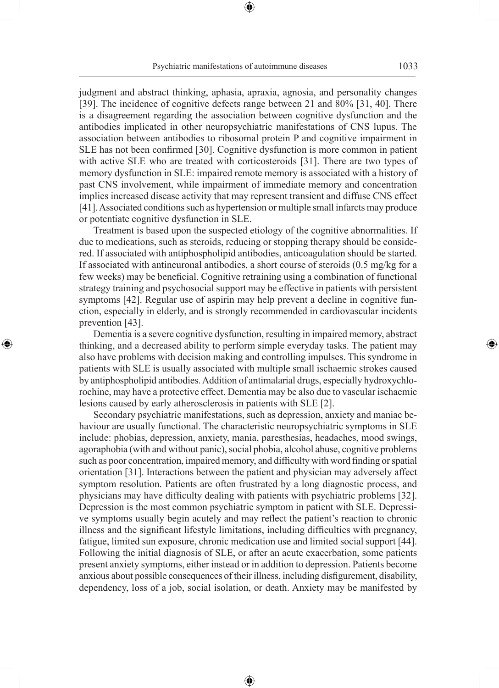judgment and abstract thinking, aphasia, apraxia, agnosia, and personality changes [39]. The incidence of cognitive defects range between 21 and 80% [31, 40]. There is a disagreement regarding the association between cognitive dysfunction and the antibodies implicated in other neuropsychiatric manifestations of CNS lupus. The association between antibodies to ribosomal protein P and cognitive impairment in SLE has not been confirmed [30]. Cognitive dysfunction is more common in patient with active SLE who are treated with corticosteroids [31]. There are two types of memory dysfunction in SLE: impaired remote memory is associated with a history of past CNS involvement, while impairment of immediate memory and concentration implies increased disease activity that may represent transient and diffuse CNS effect [41]. Associated conditions such as hypertension or multiple small infarcts may produce or potentiate cognitive dysfunction in SLE.

Treatment is based upon the suspected etiology of the cognitive abnormalities. If due to medications, such as steroids, reducing or stopping therapy should be considered. If associated with antiphospholipid antibodies, anticoagulation should be started. If associated with antineuronal antibodies, a short course of steroids (0.5 mg/kg for a few weeks) may be beneficial. Cognitive retraining using a combination of functional strategy training and psychosocial support may be effective in patients with persistent symptoms [42]. Regular use of aspirin may help prevent a decline in cognitive function, especially in elderly, and is strongly recommended in cardiovascular incidents prevention [43].

Dementia is a severe cognitive dysfunction, resulting in impaired memory, abstract thinking, and a decreased ability to perform simple everyday tasks. The patient may also have problems with decision making and controlling impulses. This syndrome in patients with SLE is usually associated with multiple small ischaemic strokes caused by antiphospholipid antibodies. Addition of antimalarial drugs, especially hydroxychlorochine, may have a protective effect. Dementia may be also due to vascular ischaemic lesions caused by early atherosclerosis in patients with SLE [2].

◈

Secondary psychiatric manifestations, such as depression, anxiety and maniac behaviour are usually functional. The characteristic neuropsychiatric symptoms in SLE include: phobias, depression, anxiety, mania, paresthesias, headaches, mood swings, agoraphobia (with and without panic), social phobia, alcohol abuse, cognitive problems such as poor concentration, impaired memory, and difficulty with word finding or spatial orientation [31]. Interactions between the patient and physician may adversely affect symptom resolution. Patients are often frustrated by a long diagnostic process, and physicians may have difficulty dealing with patients with psychiatric problems [32]. Depression is the most common psychiatric symptom in patient with SLE. Depressive symptoms usually begin acutely and may reflect the patient's reaction to chronic illness and the significant lifestyle limitations, including difficulties with pregnancy, fatigue, limited sun exposure, chronic medication use and limited social support [44]. Following the initial diagnosis of SLE, or after an acute exacerbation, some patients present anxiety symptoms, either instead or in addition to depression. Patients become anxious about possible consequences of their illness, including disfigurement, disability, dependency, loss of a job, social isolation, or death. Anxiety may be manifested by

⊕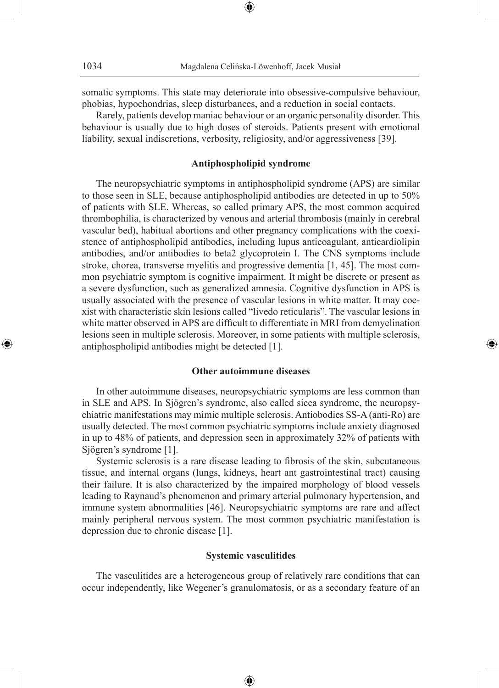somatic symptoms. This state may deteriorate into obsessive-compulsive behaviour, phobias, hypochondrias, sleep disturbances, and a reduction in social contacts.

⊕

Rarely, patients develop maniac behaviour or an organic personality disorder. This behaviour is usually due to high doses of steroids. Patients present with emotional liability, sexual indiscretions, verbosity, religiosity, and/or aggressiveness [39].

### **Antiphospholipid syndrome**

The neuropsychiatric symptoms in antiphospholipid syndrome (APS) are similar to those seen in SLE, because antiphospholipid antibodies are detected in up to 50% of patients with SLE. Whereas, so called primary APS, the most common acquired thrombophilia, is characterized by venous and arterial thrombosis (mainly in cerebral vascular bed), habitual abortions and other pregnancy complications with the coexistence of antiphospholipid antibodies, including lupus anticoagulant, anticardiolipin antibodies, and/or antibodies to beta2 glycoprotein I. The CNS symptoms include stroke, chorea, transverse myelitis and progressive dementia [1, 45]. The most common psychiatric symptom is cognitive impairment. It might be discrete or present as a severe dysfunction, such as generalized amnesia. Cognitive dysfunction in APS is usually associated with the presence of vascular lesions in white matter. It may coexist with characteristic skin lesions called "livedo reticularis". The vascular lesions in white matter observed in APS are difficult to differentiate in MRI from demyelination lesions seen in multiple sclerosis. Moreover, in some patients with multiple sclerosis, antiphospholipid antibodies might be detected [1].

### **Other autoimmune diseases**

◈

In other autoimmune diseases, neuropsychiatric symptoms are less common than in SLE and APS. In Sjögren's syndrome, also called sicca syndrome, the neuropsychiatric manifestations may mimic multiple sclerosis. Antiobodies SS-A (anti-Ro) are usually detected. The most common psychiatric symptoms include anxiety diagnosed in up to 48% of patients, and depression seen in approximately 32% of patients with Sjögren's syndrome [1].

Systemic sclerosis is a rare disease leading to fibrosis of the skin, subcutaneous tissue, and internal organs (lungs, kidneys, heart ant gastrointestinal tract) causing their failure. It is also characterized by the impaired morphology of blood vessels leading to Raynaud's phenomenon and primary arterial pulmonary hypertension, and immune system abnormalities [46]. Neuropsychiatric symptoms are rare and affect mainly peripheral nervous system. The most common psychiatric manifestation is depression due to chronic disease [1].

# **Systemic vasculitides**

The vasculitides are a heterogeneous group of relatively rare conditions that can occur independently, like Wegener's granulomatosis, or as a secondary feature of an

⊕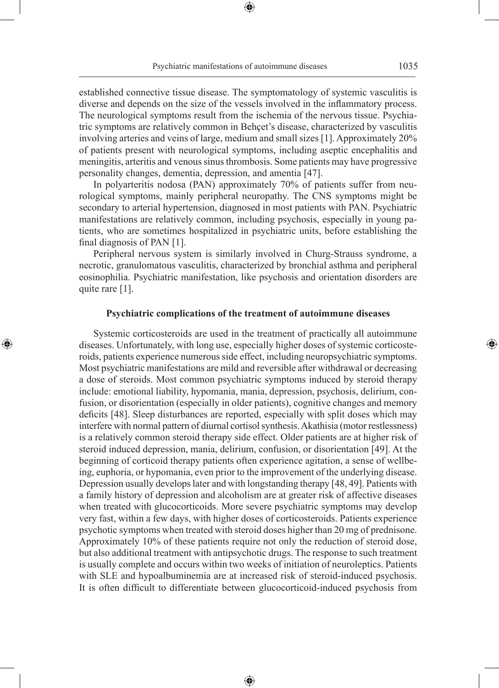established connective tissue disease. The symptomatology of systemic vasculitis is diverse and depends on the size of the vessels involved in the inflammatory process. The neurological symptoms result from the ischemia of the nervous tissue. Psychiatric symptoms are relatively common in Behçet's disease, characterized by vasculitis involving arteries and veins of large, medium and small sizes [1]. Approximately 20% of patients present with neurological symptoms, including aseptic encephalitis and meningitis, arteritis and venous sinus thrombosis. Some patients may have progressive personality changes, dementia, depression, and amentia [47].

In polyarteritis nodosa (PAN) approximately 70% of patients suffer from neurological symptoms, mainly peripheral neuropathy. The CNS symptoms might be secondary to arterial hypertension, diagnosed in most patients with PAN. Psychiatric manifestations are relatively common, including psychosis, especially in young patients, who are sometimes hospitalized in psychiatric units, before establishing the final diagnosis of PAN [1].

Peripheral nervous system is similarly involved in Churg-Strauss syndrome, a necrotic, granulomatous vasculitis, characterized by bronchial asthma and peripheral eosinophilia. Psychiatric manifestation, like psychosis and orientation disorders are quite rare [1].

# **Psychiatric complications of the treatment of autoimmune diseases**

◈

Systemic corticosteroids are used in the treatment of practically all autoimmune diseases. Unfortunately, with long use, especially higher doses of systemic corticosteroids, patients experience numerous side effect, including neuropsychiatric symptoms. Most psychiatric manifestations are mild and reversible after withdrawal or decreasing a dose of steroids. Most common psychiatric symptoms induced by steroid therapy include: emotional liability, hypomania, mania, depression, psychosis, delirium, confusion, or disorientation (especially in older patients), cognitive changes and memory deficits [48]. Sleep disturbances are reported, especially with split doses which may interfere with normal pattern of diurnal cortisol synthesis. Akathisia (motor restlessness) is a relatively common steroid therapy side effect. Older patients are at higher risk of steroid induced depression, mania, delirium, confusion, or disorientation [49]. At the beginning of corticoid therapy patients often experience agitation, a sense of wellbeing, euphoria, or hypomania, even prior to the improvement of the underlying disease. Depression usually develops later and with longstanding therapy [48, 49]. Patients with a family history of depression and alcoholism are at greater risk of affective diseases when treated with glucocorticoids. More severe psychiatric symptoms may develop very fast, within a few days, with higher doses of corticosteroids. Patients experience psychotic symptoms when treated with steroid doses higher than 20 mg of prednisone. Approximately 10% of these patients require not only the reduction of steroid dose, but also additional treatment with antipsychotic drugs. The response to such treatment is usually complete and occurs within two weeks of initiation of neuroleptics. Patients with SLE and hypoalbuminemia are at increased risk of steroid-induced psychosis. It is often difficult to differentiate between glucocorticoid-induced psychosis from

⊕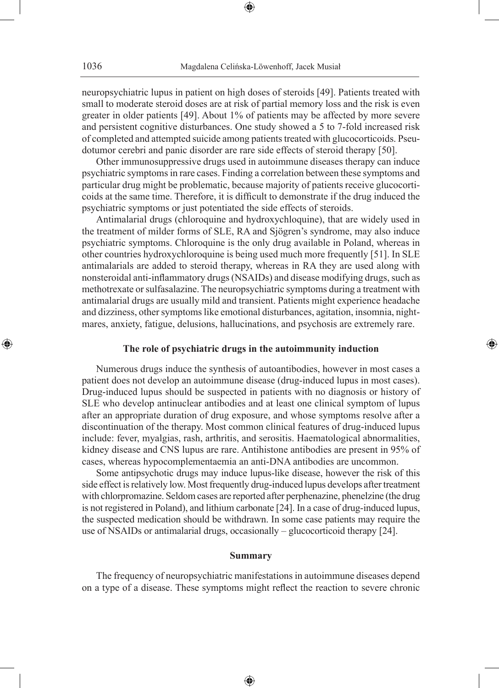neuropsychiatric lupus in patient on high doses of steroids [49]. Patients treated with small to moderate steroid doses are at risk of partial memory loss and the risk is even greater in older patients [49]. About 1% of patients may be affected by more severe and persistent cognitive disturbances. One study showed a 5 to 7-fold increased risk of completed and attempted suicide among patients treated with glucocorticoids. Pseudotumor cerebri and panic disorder are rare side effects of steroid therapy [50].

Other immunosuppressive drugs used in autoimmune diseases therapy can induce psychiatric symptoms in rare cases. Finding a correlation between these symptoms and particular drug might be problematic, because majority of patients receive glucocorticoids at the same time. Therefore, it is difficult to demonstrate if the drug induced the psychiatric symptoms or just potentiated the side effects of steroids.

Antimalarial drugs (chloroquine and hydroxychloquine), that are widely used in the treatment of milder forms of SLE, RA and Sjögren's syndrome, may also induce psychiatric symptoms. Chloroquine is the only drug available in Poland, whereas in other countries hydroxychloroquine is being used much more frequently [51]. In SLE antimalarials are added to steroid therapy, whereas in RA they are used along with nonsteroidal anti-inflammatory drugs (NSAIDs) and disease modifying drugs, such as methotrexate or sulfasalazine. The neuropsychiatric symptoms during a treatment with antimalarial drugs are usually mild and transient. Patients might experience headache and dizziness, other symptoms like emotional disturbances, agitation, insomnia, nightmares, anxiety, fatigue, delusions, hallucinations, and psychosis are extremely rare.

# **The role of psychiatric drugs in the autoimmunity induction**

◈

Numerous drugs induce the synthesis of autoantibodies, however in most cases a patient does not develop an autoimmune disease (drug-induced lupus in most cases). Drug-induced lupus should be suspected in patients with no diagnosis or history of SLE who develop antinuclear antibodies and at least one clinical symptom of lupus after an appropriate duration of drug exposure, and whose symptoms resolve after a discontinuation of the therapy. Most common clinical features of drug-induced lupus include: fever, myalgias, rash, arthritis, and serositis. Haematological abnormalities, kidney disease and CNS lupus are rare. Antihistone antibodies are present in 95% of cases, whereas hypocomplementaemia an anti-DNA antibodies are uncommon.

Some antipsychotic drugs may induce lupus-like disease, however the risk of this side effect is relatively low. Most frequently drug-induced lupus develops after treatment with chlorpromazine. Seldom cases are reported after perphenazine, phenelzine (the drug is not registered in Poland), and lithium carbonate [24]. In a case of drug-induced lupus, the suspected medication should be withdrawn. In some case patients may require the use of NSAIDs or antimalarial drugs, occasionally – glucocorticoid therapy [24].

### **Summary**

The frequency of neuropsychiatric manifestations in autoimmune diseases depend on a type of a disease. These symptoms might reflect the reaction to severe chronic

⊕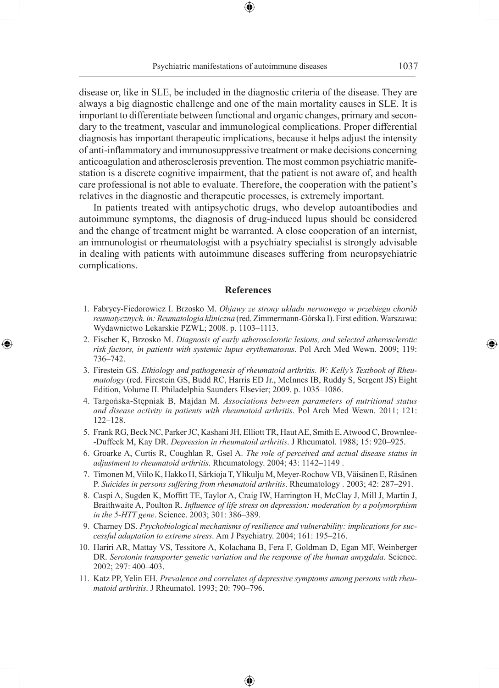disease or, like in SLE, be included in the diagnostic criteria of the disease. They are always a big diagnostic challenge and one of the main mortality causes in SLE. It is important to differentiate between functional and organic changes, primary and secondary to the treatment, vascular and immunological complications. Proper differential diagnosis has important therapeutic implications, because it helps adjust the intensity of anti-inflammatory and immunosuppressive treatment or make decisions concerning anticoagulation and atherosclerosis prevention. The most common psychiatric manifestation is a discrete cognitive impairment, that the patient is not aware of, and health care professional is not able to evaluate. Therefore, the cooperation with the patient's relatives in the diagnostic and therapeutic processes, is extremely important.

In patients treated with antipsychotic drugs, who develop autoantibodies and autoimmune symptoms, the diagnosis of drug-induced lupus should be considered and the change of treatment might be warranted. A close cooperation of an internist, an immunologist or rheumatologist with a psychiatry specialist is strongly advisable in dealing with patients with autoimmune diseases suffering from neuropsychiatric complications.

# **References**

- 1. Fabrycy-Fiedorowicz I. Brzosko M. *Objawy ze strony układu nerwowego w przebiegu chorób reumatycznych. in: Reumatologia kliniczna* (red. Zimmermann-Górska I). First edition. Warszawa: Wydawnictwo Lekarskie PZWL; 2008. p. 1103–1113.
- 2. Fischer K, Brzosko M. *Diagnosis of early atherosclerotic lesions, and selected atherosclerotic risk factors, in patients with systemic lupus erythematosus*. Pol Arch Med Wewn. 2009; 119: 736–742.

◈

- 3. Firestein GS. *Ethiology and pathogenesis of rheumatoid arthritis. W: Kelly's Textbook of Rheumatology* (red. Firestein GS, Budd RC, Harris ED Jr., McInnes IB, Ruddy S, Sergent JS) Eight Edition, Volume II. Philadelphia Saunders Elsevier; 2009. p. 1035–1086.
- 4. Targońska-Stępniak B, Majdan M. *Associations between parameters of nutritional status and disease activity in patients with rheumatoid arthritis*. Pol Arch Med Wewn. 2011; 121: 122–128.
- 5. Frank RG, Beck NC, Parker JC, Kashani JH, Elliott TR, Haut AE, Smith E, Atwood C, Brownlee- -Duffeck M, Kay DR. *Depression in rheumatoid arthritis*. J Rheumatol. 1988; 15: 920–925.
- 6. Groarke A, Curtis R, Coughlan R, Gsel A. *The role of perceived and actual disease status in adjustment to rheumatoid arthritis*. Rheumatology. 2004; 43: 1142–1149 .
- 7. Timonen M, Viilo K, Hakko H, Särkioja T, Ylikulju M, Meyer-Rochow VB, Väisänen E, Räsänen P. *Suicides in persons suffering from rheumatoid arthritis*. Rheumatology . 2003; 42: 287–291.
- 8. Caspi A, Sugden K, Moffitt TE, Taylor A, Craig IW, Harrington H, McClay J, Mill J, Martin J, Braithwaite A, Poulton R. *Influence of life stress on depression: moderation by a polymorphism in the 5-HTT gene*. Science. 2003; 301: 386–389.
- 9. Charney DS. *Psychobiological mechanisms of resilience and vulnerability: implications for successful adaptation to extreme stress*. Am J Psychiatry. 2004; 161: 195–216.
- 10. Hariri AR, Mattay VS, Tessitore A, Kolachana B, Fera F, Goldman D, Egan MF, Weinberger DR. *Serotonin transporter genetic variation and the response of the human amygdala*. Science. 2002; 297: 400–403.
- 11. Katz PP, Yelin EH. *Prevalence and correlates of depressive symptoms among persons with rheumatoid arthritis*. J Rheumatol. 1993; 20: 790–796.

♠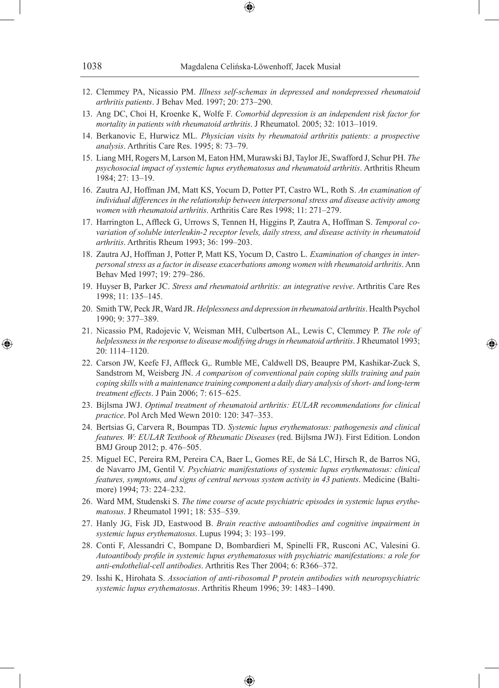- 12. Clemmey PA, Nicassio PM. *Illness self-schemas in depressed and nondepressed rheumatoid arthritis patients*. J Behav Med. 1997; 20: 273–290.
- 13. Ang DC, Choi H, Kroenke K, Wolfe F. *Comorbid depression is an independent risk factor for mortality in patients with rheumatoid arthritis*. J Rheumatol. 2005; 32: 1013–1019.
- 14. Berkanovic E, Hurwicz ML. *Physician visits by rheumatoid arthritis patients: a prospective analysis*. Arthritis Care Res. 1995; 8: 73–79.
- 15. Liang MH, Rogers M, Larson M, Eaton HM, Murawski BJ, Taylor JE, Swafford J, Schur PH. *The psychosocial impact of systemic lupus erythematosus and rheumatoid arthritis*. Arthritis Rheum 1984; 27: 13–19.
- 16. Zautra AJ, Hoffman JM, Matt KS, Yocum D, Potter PT, Castro WL, Roth S. *An examination of individual differences in the relationship between interpersonal stress and disease activity among women with rheumatoid arthritis*. Arthritis Care Res 1998; 11: 271–279.
- 17. Harrington L, Affleck G, Urrows S, Tennen H, Higgins P, Zautra A, Hoffman S. *Temporal covariation of soluble interleukin-2 receptor levels, daily stress, and disease activity in rheumatoid arthritis*. Arthritis Rheum 1993; 36: 199–203.
- 18. Zautra AJ, Hoffman J, Potter P, Matt KS, Yocum D, Castro L. *Examination of changes in interpersonal stress as a factor in disease exacerbations among women with rheumatoid arthritis*. Ann Behav Med 1997; 19: 279–286.
- 19. Huyser B, Parker JC. *Stress and rheumatoid arthritis: an integrative revive*. Arthritis Care Res 1998; 11: 135–145.
- 20. Smith TW, Peck JR, Ward JR. *Helplessness and depression in rheumatoid arthritis*. Health Psychol 1990; 9: 377–389.
- 21. Nicassio PM, Radojevic V, Weisman MH, Culbertson AL, Lewis C, Clemmey P. *The role of helplessness in the response to disease modifying drugs in rheumatoid arthritis*. J Rheumatol 1993; 20: 1114–1120.

◈

- 22. Carson JW, Keefe FJ, Affleck G,. Rumble ME, Caldwell DS, Beaupre PM, Kashikar-Zuck S, Sandstrom M, Weisberg JN. *A comparison of conventional pain coping skills training and pain coping skills with a maintenance training component a daily diary analysis of short- and long-term treatment effects*. J Pain 2006; 7: 615–625.
- 23. Bijlsma JWJ. *Optimal treatment of rheumatoid arthritis: EULAR recommendations for clinical practice*. Pol Arch Med Wewn 2010: 120: 347–353.
- 24. Bertsias G, Carvera R, Boumpas TD. *Systemic lupus erythematosus: pathogenesis and clinical features. W: EULAR Textbook of Rheumatic Diseases* (red. Bijlsma JWJ). First Edition. London BMJ Group 2012; p. 476–505.
- 25. Miguel EC, Pereira RM, Pereira CA, Baer L, Gomes RE, de Sá LC, Hirsch R, de Barros NG, de Navarro JM, Gentil V. *Psychiatric manifestations of systemic lupus erythematosus: clinical features, symptoms, and signs of central nervous system activity in 43 patients*. Medicine (Baltimore) 1994; 73: 224–232.
- 26. Ward MM, Studenski S. *The time course of acute psychiatric episodes in systemic lupus erythematosus*. J Rheumatol 1991; 18: 535–539.
- 27. Hanly JG, Fisk JD, Eastwood B. *Brain reactive autoantibodies and cognitive impairment in systemic lupus erythematosus*. Lupus 1994; 3: 193–199.
- 28. Conti F, Alessandri C, Bompane D, Bombardieri M, Spinelli FR, Rusconi AC, Valesini G. *Autoantibody profile in systemic lupus erythematosus with psychiatric manifestations: a role for anti-endothelial-cell antibodies*. Arthritis Res Ther 2004; 6: R366–372.
- 29. Isshi K, Hirohata S. *Association of anti-ribosomal P protein antibodies with neuropsychiatric systemic lupus erythematosus*. Arthritis Rheum 1996; 39: 1483–1490.

⊕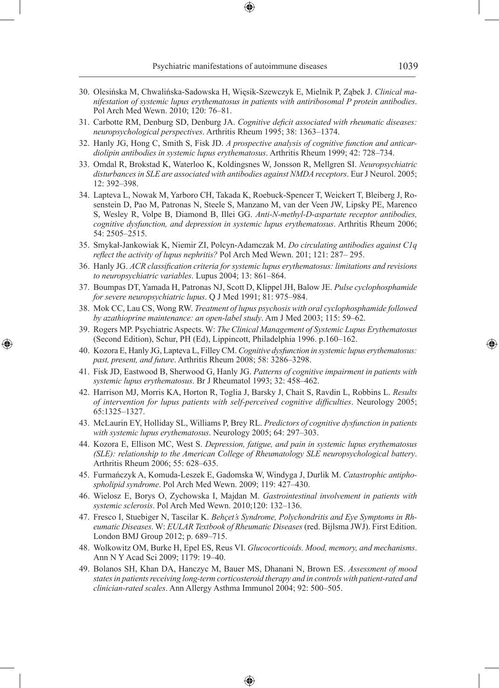- 30. Olesińska M, Chwalińska-Sadowska H, Więsik-Szewczyk E, Mielnik P, Ząbek J. *Clinical manifestation of systemic lupus erythematosus in patients with antiribosomal P protein antibodies*. Pol Arch Med Wewn. 2010; 120: 76–81.
- 31. Carbotte RM, Denburg SD, Denburg JA. *Cognitive deficit associated with rheumatic diseases: neuropsychological perspectives*. Arthritis Rheum 1995; 38: 1363–1374.
- 32. Hanly JG, Hong C, Smith S, Fisk JD. *A prospective analysis of cognitive function and anticardiolipin antibodies in systemic lupus erythematosus*. Arthritis Rheum 1999; 42: 728–734.
- 33. Omdal R, Brokstad K, Waterloo K, Koldingsnes W, Jonsson R, Mellgren SI. *Neuropsychiatric disturbances in SLE are associated with antibodies against NMDA receptors*. Eur J Neurol. 2005; 12: 392–398.
- 34. Lapteva L, Nowak M, Yarboro CH, Takada K, Roebuck-Spencer T, Weickert T, Bleiberg J, Rosenstein D, Pao M, Patronas N, Steele S, Manzano M, van der Veen JW, Lipsky PE, Marenco S, Wesley R, Volpe B, Diamond B, Illei GG. *Anti-N-methyl-D-aspartate receptor antibodies, cognitive dysfunction, and depression in systemic lupus erythematosus*. Arthritis Rheum 2006; 54: 2505–2515.
- 35. Smykał-Jankowiak K, Niemir ZI, Polcyn-Adamczak M. *Do circulating antibodies against C1q reflect the activity of lupus nephritis?* Pol Arch Med Wewn. 201; 121: 287– 295.
- 36. Hanly JG. *ACR classification criteria for systemic lupus erythematosus: limitations and revisions to neuropsychiatric variables*. Lupus 2004; 13: 861–864.
- 37. Boumpas DT, Yamada H, Patronas NJ, Scott D, Klippel JH, Balow JE. *Pulse cyclophosphamide for severe neuropsychiatric lupus*. Q J Med 1991; 81: 975–984.
- 38. Mok CC, Lau CS, Wong RW. *Treatment of lupus psychosis with oral cyclophosphamide followed by azathioprine maintenance: an open-label study*. Am J Med 2003; 115: 59–62.
- 39. Rogers MP. Psychiatric Aspects. W: *The Clinical Management of Systemic Lupus Erythematosus*  (Second Edition), Schur, PH (Ed), Lippincott, Philadelphia 1996. p.160–162.

- 40. Kozora E, Hanly JG, Lapteva L, Filley CM. *Cognitive dysfunction in systemic lupus erythematosus: past, present, and future*. Arthritis Rheum 2008; 58: 3286–3298.
- 41. Fisk JD, Eastwood B, Sherwood G, Hanly JG. *Patterns of cognitive impairment in patients with systemic lupus erythematosus*. Br J Rheumatol 1993; 32: 458–462.
- 42. Harrison MJ, Morris KA, Horton R, Toglia J, Barsky J, Chait S, Ravdin L, Robbins L. *Results of intervention for lupus patients with self-perceived cognitive difficulties*. Neurology 2005; 65:1325–1327.
- 43. McLaurin EY, Holliday SL, Williams P, Brey RL. *Predictors of cognitive dysfunction in patients with systemic lupus erythematosus*. Neurology 2005; 64: 297–303.
- 44. Kozora E, Ellison MC, West S. *Depression, fatigue, and pain in systemic lupus erythematosus (SLE): relationship to the American College of Rheumatology SLE neuropsychological battery*. Arthritis Rheum 2006; 55: 628–635.
- 45. Furmańczyk A, Komuda-Leszek E, Gadomska W, Windyga J, Durlik M. *Catastrophic antiphospholipid syndrome*. Pol Arch Med Wewn. 2009; 119: 427–430.
- 46. Wielosz E, Borys O, Zychowska I, Majdan M. *Gastrointestinal involvement in patients with systemic sclerosis*. Pol Arch Med Wewn. 2010;120: 132–136.
- 47. Fresco I, Stuebiger N, Tascilar K. *Behçet's Syndrome, Polychondritis and Eye Symptoms in Rheumatic Diseases*. W: *EULAR Textbook of Rheumatic Diseases* (red. Bijlsma JWJ). First Edition. London BMJ Group 2012; p. 689–715.
- 48. Wolkowitz OM, Burke H, Epel ES, Reus VI. *Glucocorticoids. Mood, memory, and mechanisms*. Ann N Y Acad Sci 2009; 1179: 19–40.
- 49. Bolanos SH, Khan DA, Hanczyc M, Bauer MS, Dhanani N, Brown ES. *Assessment of mood states in patients receiving long-term corticosteroid therapy and in controls with patient-rated and clinician-rated scales*. Ann Allergy Asthma Immunol 2004; 92: 500–505.

♠